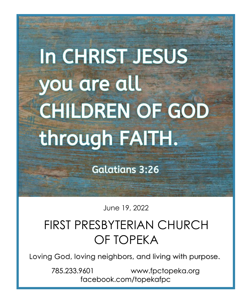# In CHRIST JESUS you are all **CHILDREN OF GOD** through FAITH.

**Galatians 3:26** 

June 19, 2022

# FIRST PRESBYTERIAN CHURCH OF TOPEKA

Loving God, loving neighbors, and living with purpose.

785.233.9601 www.fpctopeka.org facebook.com/topekafpc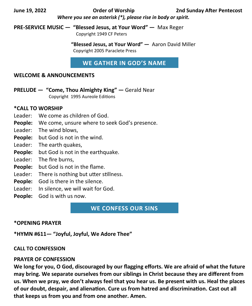**June 19, 2022 Order of Worship 2nd Sunday After Pentecost** *Where you see an asterisk (\*), please rise in body or spirit.*

**PRE-SERVICE MUSIC — "Blessed Jesus, at Your Word" —** Max Reger Copyright 1949 CF Peters

> **"Blessed Jesus, at Your Word" —** Aaron David Miller Copyright 2005 Paraclete Press

**WE GATHER IN GOD'S NAME**

#### **WELCOME & ANNOUNCEMENTS**

**PRELUDE — "Come, Thou Almighty King" —** Gerald Near Copyright 1995 Aureole Editions

#### **\*CALL TO WORSHIP**

- Leader: We come as children of God.
- **People:** We come, unsure where to seek God's presence.
- Leader: The wind blows,
- **People:** but God is not in the wind.
- Leader: The earth quakes,
- **People:** but God is not in the earthquake.
- Leader: The fire burns,
- **People:** but God is not in the flame.
- Leader: There is nothing but utter stillness.
- **People:** God is there in the silence.
- Leader: In silence, we will wait for God.
- **People:** God is with us now.

**WE CONFESS OUR SINS**

#### **\*OPENING PRAYER**

**\*HYMN #611— "Joyful, Joyful, We Adore Thee"** 

#### **CALL TO CONFESSION**

#### **PRAYER OF CONFESSION**

**We long for you, O God, discouraged by our flagging efforts. We are afraid of what the future may bring. We separate ourselves from our siblings in Christ because they are different from us. When we pray, we don't always feel that you hear us. Be present with us. Heal the places of our doubt, despair, and alienation. Cure us from hatred and discrimination. Cast out all that keeps us from you and from one another. Amen.**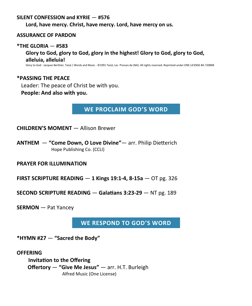#### **SILENT CONFESSION and KYRIE** — **#576**

**Lord, have mercy. Christ, have mercy. Lord, have mercy on us.**

#### **ASSURANCE OF PARDON**

#### **\*THE GLORIA** — **#583**

**Glory to God, glory to God, glory in the highest! Glory to God, glory to God, alleluia, alleluia!**

Glory to God - Jacques Berthier, Taizé / Words and Music - ©1991 Taizé, Les Presses de (NA). All rights reserved. Reprinted under ONE LICENSE #A-720898

### **\*PASSING THE PEACE**

Leader: The peace of Christ be with you.

#### **People: And also with you.**

**WE PROCLAIM GOD'S WORD**

**CHILDREN'S MOMENT** — Allison Brewer

**ANTHEM** — **"Come Down, O Love Divine"**— arr. Philip Dietterich Hope Publishing Co. (CCLI)

**PRAYER FOR ILLUMINATION** 

**FIRST SCRIPTURE READING** — **1 Kings 19:1-4, 8-15a** — OT pg. 326

**SECOND SCRIPTURE READING** — **Galatians 3:23-29** — NT pg. 189

**SERMON** — Pat Yancey

**WE RESPOND TO GOD'S WORD**

**\*HYMN #27** — **"Sacred the Body"** 

**OFFERING**

 **Invitation to the Offering Offertory** — **"Give Me Jesus"** — arr. H.T. Burleigh Alfred Music (One License)